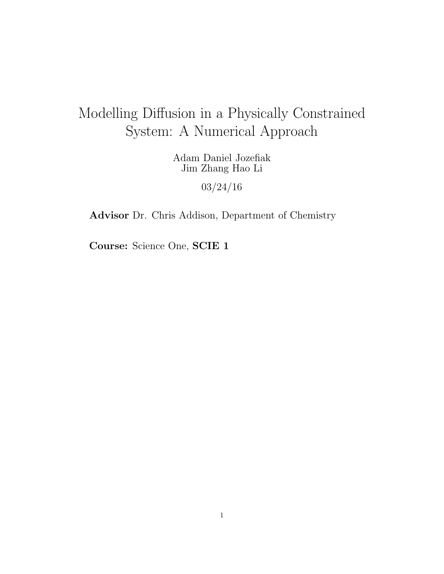# Modelling Diffusion in a Physically Constrained System: A Numerical Approach

Adam Daniel Jozefiak Jim Zhang Hao Li

03/24/16

Advisor Dr. Chris Addison, Department of Chemistry

Course: Science One, SCIE 1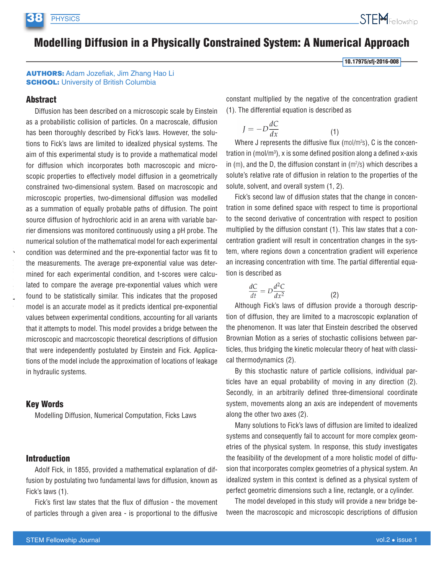## **Modelling Diffusion in a Physically Constrained System: A Numerical Approach**

10.17975/sfj-2016-008

#### **AUTHORS: Adam Jozefiak, Jim Zhang Hao Li SCHOOL: University of British Columbia**

#### **Abstract**

Diffusion has been described on a microscopic scale by Einstein as a probabilistic collision of particles. On a macroscale, diffusion has been thoroughly described by Fick's laws. However, the solutions to Fick's laws are limited to idealized physical systems. The aim of this experimental study is to provide a mathematical model for diffusion which incorporates both macroscopic and microscopic properties to effectively model diffusion in a geometrically constrained two-dimensional system. Based on macroscopic and microscopic properties, two-dimensional diffusion was modelled as a summation of equally probable paths of diffusion. The point source diffusion of hydrochloric acid in an arena with variable barrier dimensions was monitored continuously using a pH probe. The numerical solution of the mathematical model for each experimental condition was determined and the pre-exponential factor was fit to the measurements. The average pre-exponential value was determined for each experimental condition, and t-scores were calculated to compare the average pre-exponential values which were found to be statistically similar. This indicates that the proposed model is an accurate model as it predicts identical pre-exponential values between experimental conditions, accounting for all variants that it attempts to model. This model provides a bridge between the microscopic and macrooscopic theoretical descriptions of diffusion that were independently postulated by Einstein and Fick. Applications of the model include the approximation of locations of leakage in hydraulic systems.

#### **Kev Words**

Modelling Diffusion, Numerical Computation, Ficks Laws

#### **Introduction**

Adolf Fick, in 1855, provided a mathematical explanation of diffusion by postulating two fundamental laws for diffusion, known as Fick's laws (1).

Fick's first law states that the flux of diffusion - the movement of particles through a given area - is proportional to the diffusive

constant multiplied by the negative of the concentration gradient (1). The differential equation is described as

$$
J = -D\frac{dC}{dx} \tag{1}
$$

Where J represents the diffusive flux (mol/m<sup>2</sup>s), C is the concentration in (mol/ $m<sup>3</sup>$ ), x is some defined position along a defined x-axis in  $(m)$ , and the D, the diffusion constant in  $(m^2/s)$  which describes a solute's relative rate of diffusion in relation to the properties of the solute, solvent, and overall system (1, 2).

Fick's second law of diffusion states that the change in concentration in some defined space with respect to time is proportional to the second derivative of concentration with respect to position multiplied by the diffusion constant (1). This law states that a concentration gradient will result in concentration changes in the system, where regions down a concentration gradient will experience an increasing concentration with time. The partial differential equation is described as

$$
\frac{dC}{dt} = D \frac{d^2C}{dx^2} \tag{2}
$$

Although Fick's laws of diffusion provide a thorough description of diffusion, they are limited to a macroscopic explanation of the phenomenon. It was later that Einstein described the observed Brownian Motion as a series of stochastic collisions between particles, thus bridging the kinetic molecular theory of heat with classical thermodynamics (2).

By this stochastic nature of particle collisions, individual particles have an equal probability of moving in any direction (2). Secondly, in an arbitrarily defined three-dimensional coordinate system, movements along an axis are independent of movements along the other two axes (2).

Many solutions to Fick's laws of diffusion are limited to idealized systems and consequently fail to account for more complex geometries of the physical system. In response, this study investigates the feasibility of the development of a more holistic model of diffusion that incorporates complex geometries of a physical system. An idealized system in this context is defined as a physical system of perfect geometric dimensions such a line, rectangle, or a cylinder.

The model developed in this study will provide a new bridge between the macroscopic and microscopic descriptions of diffusion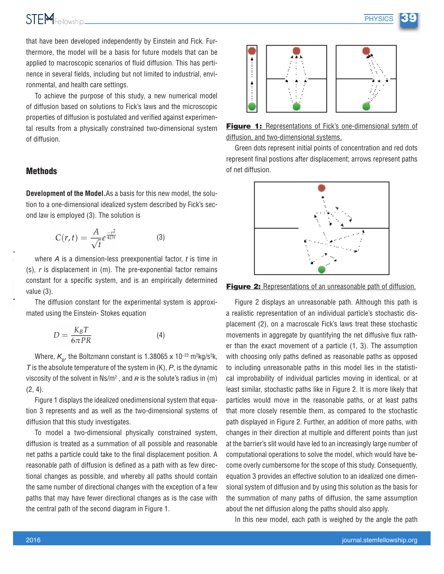that have been developed independently by Einstein and Fick. Furthermore, the model will be a basis for future models that can be applied to macroscopic scenarios of fluid diffusion. This has pertinence in several fields, including but not limited to industrial, environmental, and health care settings.

To achieve the purpose of this study, a new numerical model of diffusion based on solutions to Fick's laws and the microscopic properties of diffusion is postulated and verified against experimental results from a physically constrained two-dimensional system of diffusion.

#### **Methods**

**Development of the Model.** As a basis for this new model, the solution to a one-dimensional idealized system described by Fick's second law is employed (3). The solution is

$$
C(r,t) = \frac{A}{\sqrt{t}}e^{\frac{-r^2}{4Dt}} \tag{3}
$$

where  $A$  is a dimension-less preexponential factor,  $t$  is time in  $(s)$ , r is displacement in  $(m)$ . The pre-exponential factor remains constant for a specific system, and is an empirically determined value  $(3)$ .

The diffusion constant for the experimental system is approximated using the Einstein- Stokes equation

$$
D = \frac{K_B T}{6\pi PR} \tag{4}
$$

Where,  $K_{\rm B}$ , the Boltzmann constant is 1.38065 x 10<sup>-23</sup> m<sup>2</sup>kg/s<sup>2</sup>k,  $\overline{T}$  is the absolute temperature of the system in  $(K)$ .  $\overline{P}$  is the dynamic viscosity of the solvent in  $Ns/m^2$ , and  $R$  is the solute's radius in (m)  $(2, 4)$ .

Figure 1 displays the idealized onedimensional system that equation 3 represents and as well as the two-dimensional systems of diffusion that this study investigates.

To model a two-dimensional physically constrained system, diffusion is treated as a summation of all possible and reasonable net paths a particle could take to the final displacement position. A reasonable path of diffusion is defined as a path with as few directional changes as possible, and whereby all paths should contain the same number of directional changes with the exception of a few paths that may have fewer directional changes as is the case with the central path of the second diagram in Figure 1.



**Figure 1:** Representations of Fick's one-dimensional sytem of diffusion, and two-dimensional systems.

Green dots represent initial points of concentration and red dots represent final postions after displacement; arrows represent paths of net diffusion.



**Figure 2:** Representations of an unreasonable path of diffusion.

Figure 2 displays an unreasonable path. Although this path is a realistic representation of an individual particle's stochastic displacement (2), on a macroscale Fick's laws treat these stochastic movements in aggregate by quantifying the net diffusive flux rather than the exact movement of a particle (1, 3). The assumption with choosing only paths defined as reasonable paths as opposed to including unreasonable paths in this model lies in the statistical improbability of individual particles moving in identical, or at least similar, stochastic paths like in Figure 2. It is more likely that particles would move in the reasonable paths, or at least paths that more closely resemble them, as compared to the stochastic path displayed in Figure 2. Further, an addition of more paths, with changes in their direction at multiple and different points than just at the barrier's slit would have led to an increasingly large number of computational operations to solve the model, which would have become overly cumbersome for the scope of this study. Consequently, equation 3 provides an effective solution to an idealized one dimensional system of diffusion and by using this solution as the basis for the summation of many paths of diffusion, the same assumption about the net diffusion along the paths should also apply.

In this new model, each path is weighed by the angle the path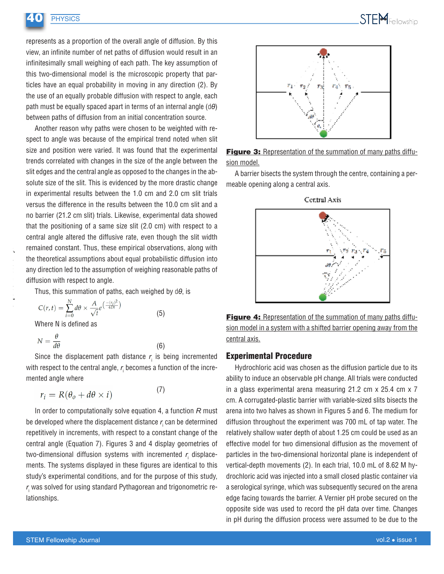

represents as a proportion of the overall angle of diffusion. By this view, an infinite number of net paths of diffusion would result in an infinitesimally small weighing of each path. The key assumption of this two-dimensional model is the microscopic property that particles have an equal probability in moving in any direction (2). By the use of an equally probable diffusion with respect to angle, each path must be equally spaced apart in terms of an internal angle  $(d\theta)$ between paths of diffusion from an initial concentration source.

Another reason why paths were chosen to be weighted with respect to angle was because of the empirical trend noted when slit size and position were varied. It was found that the experimental trends correlated with changes in the size of the angle between the slit edges and the central angle as opposed to the changes in the absolute size of the slit. This is evidenced by the more drastic change in experimental results between the 1.0 cm and 2.0 cm slit trials versus the difference in the results between the 10.0 cm slit and a no barrier (21.2 cm slit) trials. Likewise, experimental data showed that the positioning of a same size slit (2.0 cm) with respect to a central angle altered the diffusive rate, even though the slit width remained constant. Thus, these empirical observations, along with the theoretical assumptions about equal probabilistic diffusion into any direction led to the assumption of weighing reasonable paths of diffusion with respect to angle.

Thus, this summation of paths, each weighed by  $d\theta$ , is

$$
C(r,t) = \sum_{i=0}^{N} d\theta \times \frac{A}{\sqrt{t}} e^{\left(\frac{-(r_i)^2}{4Dt}\right)}
$$
(5)

Where N is defined as

**PHYSICS** 

$$
N = \frac{\theta}{d\theta}
$$

Since the displacement path distance  $r_i$  is being incremented with respect to the central angle,  $r_i$  becomes a function of the incremented angle where

 $(6)$ 

 $(7)$ 

$$
r_i = R(\theta_o + d\theta \times i)
$$

In order to computationally solve equation 4, a function  $R$  must be developed where the displacement distance  $r_i$  can be determined repetitively in increments, with respect to a constant change of the central angle (Equation 7). Figures 3 and 4 display geometries of two-dimensional diffusion systems with incremented  $r_i$  displacements. The systems displayed in these figures are identical to this study's experimental conditions, and for the purpose of this study, r, was solved for using standard Pythagorean and trigonometric relationships.



Figure 3: Representation of the summation of many paths diffusion model.

A barrier bisects the system through the centre, containing a permeable opening along a central axis.



Figure 4: Representation of the summation of many paths diffusion model in a system with a shifted barrier opening away from the central axis.

#### **Experimental Procedure**

Hydrochloric acid was chosen as the diffusion particle due to its ability to induce an observable pH change. All trials were conducted in a glass experimental arena measuring  $21.2$  cm  $\times$  25.4 cm  $\times$  7 cm. A corrugated-plastic barrier with variable-sized slits bisects the arena into two halves as shown in Figures 5 and 6. The medium for diffusion throughout the experiment was 700 mL of tap water. The relatively shallow water depth of about 1.25 cm could be used as an effective model for two dimensional diffusion as the movement of particles in the two-dimensional horizontal plane is independent of vertical-depth movements (2). In each trial, 10.0 mL of 8.62 M hydrochloric acid was injected into a small closed plastic container via a serological syringe, which was subsequently secured on the arena edge facing towards the barrier. A Vernier pH probe secured on the opposite side was used to record the pH data over time. Changes in pH during the diffusion process were assumed to be due to the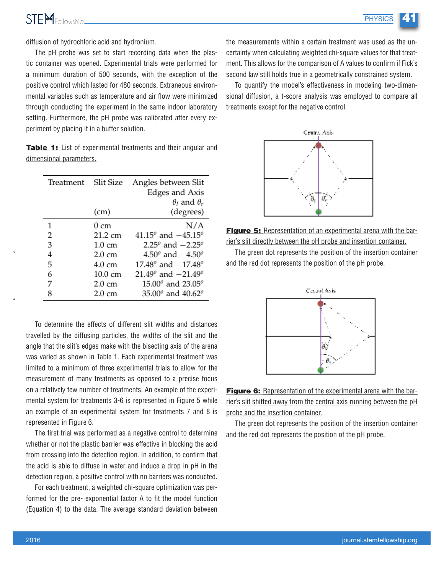diffusion of hydrochloric acid and hydronium.

The pH probe was set to start recording data when the plastic container was opened. Experimental trials were performed for a minimum duration of 500 seconds, with the exception of the positive control which lasted for 480 seconds. Extraneous environmental variables such as temperature and air flow were minimized through conducting the experiment in the same indoor laboratory setting. Furthermore, the pH probe was calibrated after every experiment by placing it in a buffer solution.

Table 1: List of experimental treatments and their angular and dimensional parameters.

| Treatment | Slit Size         | Angles between Slit                          |
|-----------|-------------------|----------------------------------------------|
|           |                   | Edges and Axis                               |
|           |                   | $\theta_l$ and $\theta_r$                    |
|           | (cm)              | (degrees)                                    |
| 1         | $0 \text{ cm}$    | N/A                                          |
| 2         | $21.2 \text{ cm}$ | 41.15 <sup>o</sup> and $-45.15$ <sup>o</sup> |
| 3         | $1.0 \text{ cm}$  | 2.25 <sup>o</sup> and $-2.25$ <sup>o</sup>   |
| 4         | $2.0 \text{ cm}$  | 4.50 <sup>o</sup> and $-4.50^{\circ}$        |
| 5         | $4.0 \text{ cm}$  | 17.48 $^{\circ}$ and $-17.48^{\circ}$        |
| 6         | 10.0 cm           | 21.49 <sup>o</sup> and $-21.49$ <sup>o</sup> |
| 7         | $2.0 \text{ cm}$  | $15.00^{\circ}$ and $23.05^{\circ}$          |
|           | $2.0 \text{ cm}$  | $35.00^{\circ}$ and $40.62^{\circ}$          |

To determine the effects of different slit widths and distances travelled by the diffusing particles, the widths of the slit and the angle that the slit's edges make with the bisecting axis of the arena was varied as shown in Table 1. Each experimental treatment was limited to a minimum of three experimental trials to allow for the measurement of many treatments as opposed to a precise focus on a relatively few number of treatments. An example of the experimental system for treatments 3-6 is represented in Figure 5 while an example of an experimental system for treatments 7 and 8 is represented in Figure 6.

The first trial was performed as a negative control to determine whether or not the plastic barrier was effective in blocking the acid from crossing into the detection region. In addition, to confirm that the acid is able to diffuse in water and induce a drop in pH in the detection region, a positive control with no barriers was conducted.

For each treatment, a weighted chi-square optimization was performed for the pre- exponential factor A to fit the model function (Equation 4) to the data. The average standard deviation between

the measurements within a certain treatment was used as the uncertainty when calculating weighted chi-square values for that treatment. This allows for the comparison of A values to confirm if Fick's second law still holds true in a geometrically constrained system.

To quantify the model's effectiveness in modeling two-dimensional diffusion, a t-score analysis was employed to compare all treatments except for the negative control.





The green dot represents the position of the insertion container and the red dot represents the position of the pH probe.



Figure 6: Representation of the experimental arena with the barrier's slit shifted away from the central axis running between the pH probe and the insertion container.

The green dot represents the position of the insertion container and the red dot represents the position of the pH probe.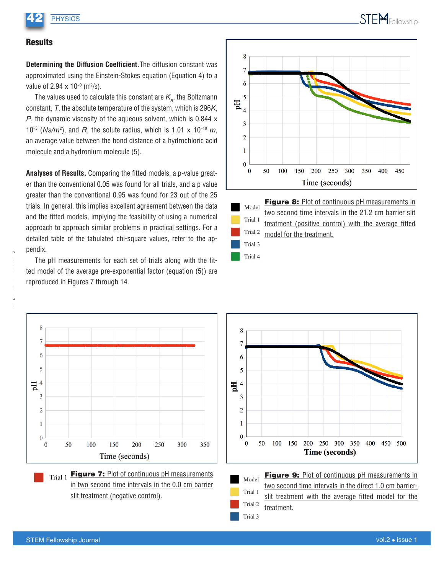

### **Results**

**Determining the Diffusion Coefficient.** The diffusion constant was approximated using the Einstein-Stokes equation (Equation 4) to a value of 2.94  $\times$  10<sup>-9</sup> (m<sup>2</sup>/s).

The values used to calculate this constant are  $K_{\rm g}$ , the Boltzmann constant,  $T$ , the absolute temperature of the system, which is 296K,  $P$ , the dynamic viscosity of the aqueous solvent, which is 0.844  $\times$ 10<sup>-3</sup> (Ns/m<sup>2</sup>), and R, the solute radius, which is 1.01 x 10<sup>-10</sup> m, an average value between the bond distance of a hydrochloric acid molecule and a hydronium molecule (5).

Analyses of Results. Comparing the fitted models, a p-value greater than the conventional 0.05 was found for all trials, and a p value greater than the conventional 0.95 was found for 23 out of the 25 trials. In general, this implies excellent agreement between the data and the fitted models, implying the feasibility of using a numerical approach to approach similar problems in practical settings. For a detailed table of the tabulated chi-square values, refer to the appendix.

The pH measurements for each set of trials along with the fitted model of the average pre-exponential factor (equation (5)) are reproduced in Figures 7 through 14.





Trial 4

Figure 8: Plot of continuous pH measurements in two second time intervals in the 21.2 cm barrier slit treatment (positive control) with the average fitted model for the treatment.



Trial 1 Figure 7: Plot of continuous pH measurements in two second time intervals in the 0.0 cm barrier slit treatment (negative control).





Figure 9: Plot of continuous pH measurements in two second time intervals in the direct 1.0 cm barrierslit treatment with the average fitted model for the treatment.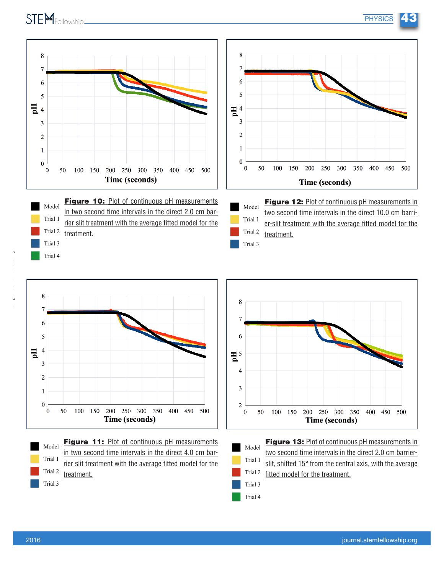







Figure 12: Plot of continuous pH measurements in two second time intervals in the direct 10.0 cm barrier-slit treatment with the average fitted model for the treatment.

**PHYSICS** 

43



Figure 11: Plot of continuous pH measurements Model in two second time intervals in the direct 4.0 cm bar-Trial 1 rier slit treatment with the average fitted model for the Trial 2 treatment. Trial 3





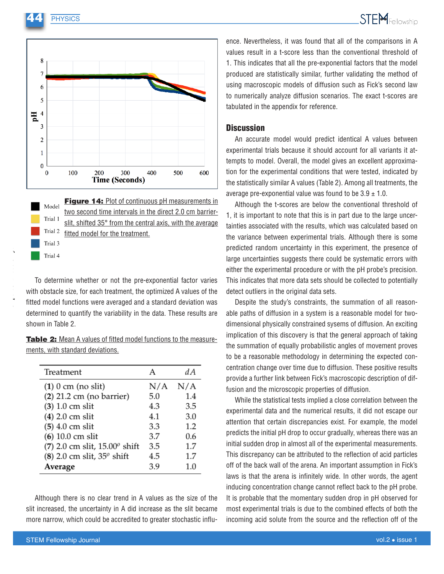**PHYSICS** 



Figure 14: Plot of continuous pH measurements in Model two second time intervals in the direct 2.0 cm barrier-Trial 1 slit, shifted 35° from the central axis, with the average Trial 2 fitted model for the treatment. Trial 3

Trial 4

To determine whether or not the pre-exponential factor varies with obstacle size, for each treatment, the optimized A values of the fitted model functions were averaged and a standard deviation was determined to quantify the variability in the data. These results are shown in Table 2.

Table 2: Mean A values of fitted model functions to the measurements, with standard deviations.

| Treatment                                | А   | dA  |
|------------------------------------------|-----|-----|
| $(1)$ 0 cm (no slit)                     | N/A | N/A |
| $(2)$ 21.2 cm (no barrier)               | 5.0 | 1.4 |
| $(3)$ 1.0 cm slit                        | 4.3 | 3.5 |
| (4) 2.0 cm slit                          | 4.1 | 3.0 |
| $(5)$ 4.0 cm slit                        | 3.3 | 1.2 |
| $(6)$ 10.0 cm slit                       | 3.7 | 0.6 |
| (7) 2.0 cm slit, $15.00^{\circ}$ shift   | 3.5 | 1.7 |
| $(8)$ 2.0 cm slit, 35 <sup>o</sup> shift | 4.5 | 1.7 |
| Average                                  | 3.9 | 1.0 |

Although there is no clear trend in A values as the size of the slit increased, the uncertainty in A did increase as the slit became more narrow, which could be accredited to greater stochastic influence. Nevertheless, it was found that all of the comparisons in A values result in a t-score less than the conventional threshold of 1. This indicates that all the pre-exponential factors that the model produced are statistically similar, further validating the method of using macroscopic models of diffusion such as Fick's second law to numerically analyze diffusion scenarios. The exact t-scores are tabulated in the appendix for reference.

#### **Discussion**

An accurate model would predict identical A values between experimental trials because it should account for all variants it attempts to model. Overall, the model gives an excellent approximation for the experimental conditions that were tested, indicated by the statistically similar A values (Table 2). Among all treatments, the average pre-exponential value was found to be  $3.9 \pm 1.0$ .

Although the t-scores are below the conventional threshold of 1, it is important to note that this is in part due to the large uncertainties associated with the results, which was calculated based on the variance between experimental trials. Although there is some predicted random uncertainty in this experiment, the presence of large uncertainties suggests there could be systematic errors with either the experimental procedure or with the pH probe's precision. This indicates that more data sets should be collected to potentially detect outliers in the original data sets.

Despite the study's constraints, the summation of all reasonable paths of diffusion in a system is a reasonable model for twodimensional physically constrained sysems of diffusion. An exciting implication of this discovery is that the general approach of taking the summation of equally probabilistic angles of movement proves to be a reasonable methodology in determining the expected concentration change over time due to diffusion. These positive results provide a further link between Fick's macroscopic description of diffusion and the microscopic properties of diffusion.

While the statistical tests implied a close correlation between the experimental data and the numerical results, it did not escape our attention that certain discrepancies exist. For example, the model predicts the initial pH drop to occur gradually, whereas there was an initial sudden drop in almost all of the experimental measurements. This discrepancy can be attributed to the reflection of acid particles off of the back wall of the arena. An important assumption in Fick's laws is that the arena is infinitely wide. In other words, the agent inducing concentration change cannot reflect back to the pH probe. It is probable that the momentary sudden drop in pH observed for most experimental trials is due to the combined effects of both the incoming acid solute from the source and the reflection off of the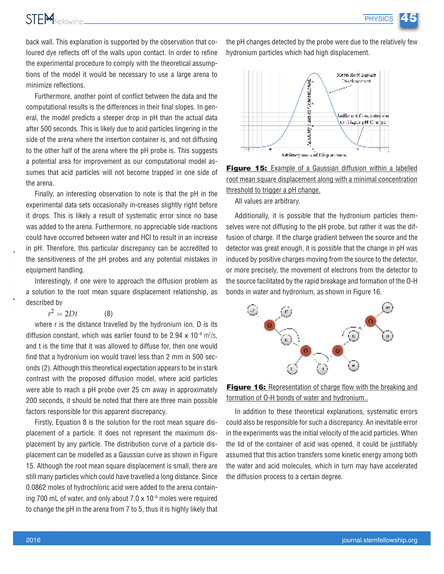

back wall. This explanation is supported by the observation that coloured dye reflects off of the walls upon contact. In order to refine the experimental procedure to comply with the theoretical assumptions of the model it would be necessary to use a large arena to minimize reflections.

Furthermore, another point of conflict between the data and the computational results is the differences in their final slopes. In general, the model predicts a steeper drop in pH than the actual data after 500 seconds. This is likely due to acid particles lingering in the side of the arena where the insertion container is, and not diffusing to the other half of the arena where the pH probe is. This suggests a potential area for improvement as our computational model assumes that acid particles will not become trapped in one side of the arena.

Finally, an interesting observation to note is that the pH in the experimental data sets occasionally in-creases slightly right before it drops. This is likely a result of systematic error since no base was added to the arena. Furthermore, no appreciable side reactions could have occurred between water and HCI to result in an increase in pH. Therefore, this particular discrepancy can be accredited to the sensitiveness of the pH probes and any potential mistakes in equipment handling.

Interestingly, if one were to approach the diffusion problem as a solution to the root mean square displacement relationship, as described by

> $r^2 = 2Dt$  $(8)$

where r is the distance travelled by the hydronium ion, D is its diffusion constant, which was earlier found to be 2.94  $\times$  10<sup>-9</sup> m<sup>2</sup>/s, and t is the time that it was allowed to diffuse for, then one would find that a hydronium ion would travel less than 2 mm in 500 seconds (2). Although this theoretical expectation appears to be in stark contrast with the proposed diffusion model, where acid particles were able to reach a pH probe over 25 cm away in approximately 200 seconds, it should be noted that there are three main possible factors responsible for this apparent discrepancy.

Firstly, Equation 8 is the solution for the root mean square displacement of a particle. It does not represent the maximum displacement by any particle. The distribution curve of a particle displacement can be modelled as a Gaussian curve as shown in Figure 15. Although the root mean square displacement is small, there are still many particles which could have travelled a long distance. Since 0.0862 moles of hydrochloric acid were added to the arena containing 700 mL of water, and only about  $7.0 \times 10^{-6}$  moles were required to change the pH in the arena from 7 to 5, thus it is highly likely that

the pH changes detected by the probe were due to the relatively few hydronium particles which had high displacement.



**Figure 15:** Example of a Gaussian diffusion within a labelled root mean square displacement along with a minimal concentration threshold to trigger a pH change.

All values are arbitrary.

Additionally, it is possible that the hydronium particles themselves were not diffusing to the pH probe, but rather it was the diffusion of charge. If the charge gradient between the source and the detector was great enough, it is possible that the change in pH was induced by positive charges moving from the source to the detector, or more precisely, the movement of electrons from the detector to the source facilitated by the rapid breakage and formation of the O-H bonds in water and hydronium, as shown in Figure 16.



**Figure 16:** Representation of charge flow with the breaking and formation of O-H bonds of water and hydronium...

In addition to these theoretical explanations, systematic errors could also be responsible for such a discrepancy. An inevitable error in the experiments was the initial velocity of the acid particles. When the lid of the container of acid was opened, it could be justifiably assumed that this action transfers some kinetic energy among both the water and acid molecules, which in turn may have accelerated the diffusion process to a certain degree.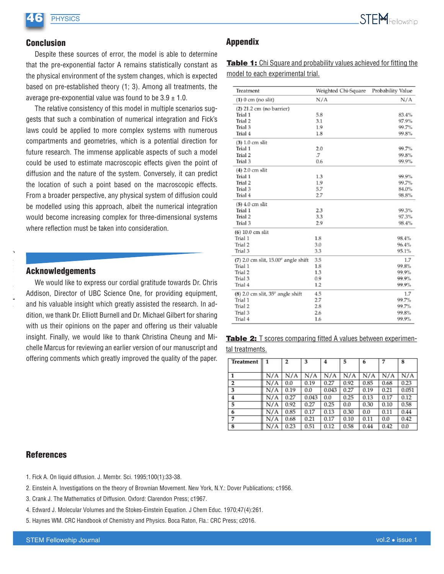## **PHYSICS**

#### **Conclusion**

Despite these sources of error, the model is able to determine that the pre-exponential factor A remains statistically constant as the physical environment of the system changes, which is expected based on pre-established theory (1; 3). Among all treatments, the average pre-exponential value was found to be  $3.9 \pm 1.0$ .

The relative consistency of this model in multiple scenarios suggests that such a combination of numerical integration and Fick's laws could be applied to more complex systems with numerous compartments and geometries, which is a potential direction for future research. The immense applicable aspects of such a model could be used to estimate macroscopic effects given the point of diffusion and the nature of the system. Conversely, it can predict the location of such a point based on the macroscopic effects. From a broader perspective, any physical system of diffusion could be modelled using this approach, albeit the numerical integration would become increasing complex for three-dimensional systems where reflection must be taken into consideration.

#### **Acknowledgements**

We would like to express our cordial gratitude towards Dr. Chris Addison, Director of UBC Science One, for providing equipment, and his valuable insight which greatly assisted the research. In addition, we thank Dr. Elliott Burnell and Dr. Michael Gilbert for sharing with us their opinions on the paper and offering us their valuable insight. Finally, we would like to thank Christina Cheung and Michelle Marcus for reviewing an earlier version of our manuscript and offering comments which greatly improved the quality of the paper.

## **Appendix**

**Table 1:** Chi Square and probability values achieved for fitting the model to each experimental trial.

| Treatment                                      | Weighted Chi-Square | Probability Value |
|------------------------------------------------|---------------------|-------------------|
| $(1)$ 0 cm (no slit)                           | N/A                 | N/A               |
| $(2)$ 21.2 cm (no barrier)                     |                     |                   |
| Trial 1                                        | 5.8                 | 83.4%             |
| Trial 2                                        | 3.1                 | 97.9%             |
| Trial 3                                        | 1.9                 | 99.7%             |
| Trial 4                                        | 1.8                 | 99.8%             |
| $(3)$ 1.0 cm slit                              |                     |                   |
| Trial 1                                        | 2.0                 | 99.7%             |
| Trial <sub>2</sub>                             | .7                  | 99.8%             |
| Trial 3                                        | 0.6                 | 99.9%             |
| $(4)$ 2.0 cm slit                              |                     |                   |
| Trial 1                                        | 1.3                 | 99.9%             |
| Trial 2                                        | 1.9                 | 99.7%             |
| Trial 3                                        | 5.7                 | 84.0%             |
| Trial 4                                        | 2.7                 | 98.8%             |
| $(5)$ 4.0 cm slit                              |                     |                   |
| Trial 1                                        | 2.3                 | 99.3%             |
| Trial 2                                        | 3.3                 | 97.3%             |
| Trial 3                                        | 2.9                 | 98.4%             |
| $(6)$ 10.0 cm slit                             |                     |                   |
| Trial 1                                        | 1.8                 | 98.4%             |
| Trial 2                                        | 3.0                 | 96.4%             |
| Trial 3                                        | 3.3                 | 95.1%             |
| $(7)$ 2.0 cm slit, $15.00^{\circ}$ angle shift | 3.5                 | 1.7               |
| Trial 1                                        | 1.8                 | 99.8%             |
| Trial 2                                        | 1.3                 | 99.9%             |
| Trial 3                                        | 0.9                 | 99.9%             |
| Trial 4                                        | 1.2                 | 99.9%             |
| $(8)$ 2.0 cm slit, $35^{\circ}$ angle shift    | 4.5                 | 1.7               |
| Trial 1                                        | 2.7                 | 99.7%             |
| Trial 2                                        | 2.8                 | 99.7%             |
| Trial 3                                        | 2.6                 | 99.8%             |
| Trial 4                                        | 1.6                 | 99.9%             |

|                 |  |  |  | <b>Table 2:</b> T scores comparing fitted A values between experimen- |
|-----------------|--|--|--|-----------------------------------------------------------------------|
| tal treatments. |  |  |  |                                                                       |

| Treatment      | $\mathbf{1}$ | 2    | 3     | 4     | 5    | 6    | 7    | 8     |
|----------------|--------------|------|-------|-------|------|------|------|-------|
|                |              |      |       |       |      |      |      |       |
|                | N/A          | N/A  | N/A   | N/A   | N/A  | N/A  | N/A  | N/A   |
| $\overline{2}$ | N/A          | 0.0  | 0.19  | 0.27  | 0.92 | 0.85 | 0.68 | 0.23  |
| 3              | N/A          | 0.19 | 0.0   | 0.043 | 0.27 | 0.19 | 0.21 | 0.051 |
| 4              | N/A          | 0.27 | 0.043 | 0.0   | 0.25 | 0.13 | 0.17 | 0.12  |
| 5              | N/A          | 0.92 | 0.27  | 0.25  | 0.0  | 0.30 | 0.10 | 0.58  |
| 6              | N/A          | 0.85 | 0.17  | 0.13  | 0.30 | 0.0  | 0.11 | 0.44  |
| 7              | N/A          | 0.68 | 0.21  | 0.17  | 0.10 | 0.11 | 0.0  | 0.42  |
| 8              | N/A          | 0.23 | 0.51  | 0.12  | 0.58 | 0.44 | 0.42 | 0.0   |

#### **References**

- 1. Fick A. On liquid diffusion. J. Membr. Sci. 1995;100(1):33-38.
- 2. Einstein A. Investigations on the theory of Brownian Movement. New York, N.Y.: Dover Publications; c1956.
- 3. Crank J. The Mathematics of Diffusion. Oxford: Clarendon Press; c1967.
- 4. Edward J. Molecular Volumes and the Stokes-Einstein Equation. J Chem Educ. 1970;47(4):261.
- 5. Haynes WM. CRC Handbook of Chemistry and Physics. Boca Raton, Fla.: CRC Press; c2016.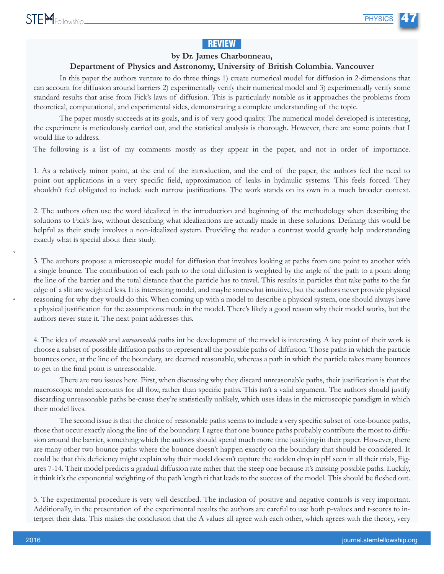### **REVIEW**

#### by Dr. James Charbonneau,

#### Department of Physics and Astronomy, University of British Columbia. Vancouver

In this paper the authors venture to do three things 1) create numerical model for diffusion in 2-dimensions that can account for diffusion around barriers 2) experimentally verify their numerical model and 3) experimentally verify some standard results that arise from Fick's laws of diffusion. This is particularly notable as it approaches the problems from theoretical, computational, and experimental sides, demonstrating a complete understanding of the topic.

The paper mostly succeeds at its goals, and is of very good quality. The numerical model developed is interesting, the experiment is meticulously carried out, and the statistical analysis is thorough. However, there are some points that I would like to address.

The following is a list of my comments mostly as they appear in the paper, and not in order of importance.

1. As a relatively minor point, at the end of the introduction, and the end of the paper, the authors feel the need to point out applications in a very specific field, approximation of leaks in hydraulic systems. This feels forced. They shouldn't feel obligated to include such narrow justifications. The work stands on its own in a much broader context.

2. The authors often use the word idealized in the introduction and beginning of the methodology when describing the solutions to Fick's law, without describing what idealizations are actually made in these solutions. Defining this would be helpful as their study involves a non-idealized system. Providing the reader a contrast would greatly help understanding exactly what is special about their study.

3. The authors propose a microscopic model for diffusion that involves looking at paths from one point to another with a single bounce. The contribution of each path to the total diffusion is weighted by the angle of the path to a point along the line of the barrier and the total distance that the particle has to travel. This results in particles that take paths to the far edge of a slit are weighted less. It is interesting model, and maybe somewhat intuitive, but the authors never provide physical reasoning for why they would do this. When coming up with a model to describe a physical system, one should always have a physical justification for the assumptions made in the model. There's likely a good reason why their model works, but the authors never state it. The next point addresses this.

4. The idea of *reasonable* and *unreasonable* paths int he development of the model is interesting. A key point of their work is choose a subset of possible diffusion paths to represent all the possible paths of diffusion. Those paths in which the particle bounces once, at the line of the boundary, are deemed reasonable, whereas a path in which the particle takes many bounces to get to the final point is unreasonable.

There are two issues here. First, when discussing why they discard unreasonable paths, their justification is that the macroscopic model accounts for all flow, rather than specific paths. This isn't a valid argument. The authors should justify discarding unreasonable paths be-cause they're statistically unlikely, which uses ideas in the microscopic paradigm in which their model lives.

The second issue is that the choice of reasonable paths seems to include a very specific subset of one-bounce paths, those that occur exactly along the line of the boundary. I agree that one bounce paths probably contribute the most to diffusion around the barrier, something which the authors should spend much more time justifying in their paper. However, there are many other two bounce paths where the bounce doesn't happen exactly on the boundary that should be considered. It could be that this deficiency might explain why their model doesn't capture the sudden drop in pH seen in all their trials, Figures 7-14. Their model predicts a gradual diffusion rate rather that the steep one because it's missing possible paths. Luckily, it think it's the exponential weighting of the path length ri that leads to the success of the model. This should be fleshed out.

5. The experimental procedure is very well described. The inclusion of positive and negative controls is very important. Additionally, in the presentation of the experimental results the authors are careful to use both p-values and t-scores to interpret their data. This makes the conclusion that the A values all agree with each other, which agrees with the theory, very